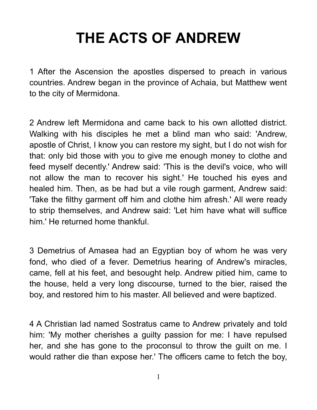## THE ACTS OF ANDREW

1 After the Ascension the apostles dispersed to preach in various countries. Andrew began in the province of Achaia, but Matthew went to the city of Mermidona.

2 Andrew left Mermidona and came back to his own allotted district. Walking with his disciples he met a blind man who said: 'Andrew, apostle of Christ, I know you can restore my sight, but I do not wish for that: only bid those with you to give me enough money to clothe and feed myself decently.' Andrew said: 'This is the devil's voice, who will not allow the man to recover his sight.' He touched his eyes and healed him. Then, as be had but a vile rough garment, Andrew said: 'Take the filthy garment off him and clothe him afresh.' All were ready to strip themselves, and Andrew said: 'Let him have what will suffice him.' He returned home thankful.

3 Demetrius of Amasea had an Egyptian boy of whom he was very fond, who died of a fever. Demetrius hearing of Andrew's miracles, came, fell at his feet, and besought help. Andrew pitied him, came to the house, held a very long discourse, turned to the bier, raised the boy, and restored him to his master. All believed and were baptized.

4 A Christian lad named Sostratus came to Andrew privately and told him: 'My mother cherishes a guilty passion for me: I have repulsed her, and she has gone to the proconsul to throw the guilt on me. I would rather die than expose her.' The officers came to fetch the boy,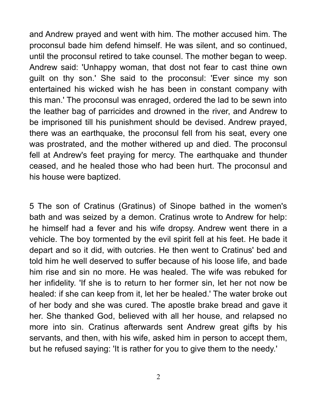and Andrew prayed and went with him. The mother accused him. The proconsul bade him defend himself. He was silent, and so continued, until the proconsul retired to take counsel. The mother began to weep. Andrew said: 'Unhappy woman, that dost not fear to cast thine own guilt on thy son.' She said to the proconsul: 'Ever since my son entertained his wicked wish he has been in constant company with this man.' The proconsul was enraged, ordered the lad to be sewn into the leather bag of parricides and drowned in the river, and Andrew to be imprisoned till his punishment should be devised. Andrew prayed, there was an earthquake, the proconsul fell from his seat, every one was prostrated, and the mother withered up and died. The proconsul fell at Andrew's feet praying for mercy. The earthquake and thunder ceased, and he healed those who had been hurt. The proconsul and his house were baptized.

5 The son of Cratinus (Gratinus) of Sinope bathed in the women's bath and was seized by a demon. Cratinus wrote to Andrew for help: he himself had a fever and his wife dropsy. Andrew went there in a vehicle. The boy tormented by the evil spirit fell at his feet. He bade it depart and so it did, with outcries. He then went to Cratinus' bed and told him he well deserved to suffer because of his loose life, and bade him rise and sin no more. He was healed. The wife was rebuked for her infidelity. 'If she is to return to her former sin, let her not now be healed: if she can keep from it, let her be healed.' The water broke out of her body and she was cured. The apostle brake bread and gave it her. She thanked God, believed with all her house, and relapsed no more into sin. Cratinus afterwards sent Andrew great gifts by his servants, and then, with his wife, asked him in person to accept them, but he refused saying: 'It is rather for you to give them to the needy.'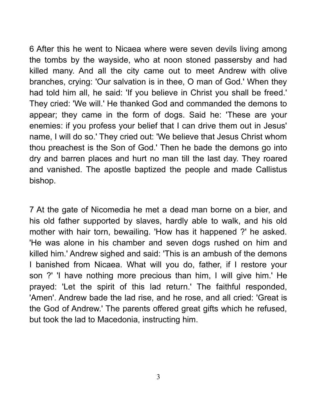6 After this he went to Nicaea where were seven devils living among the tombs by the wayside, who at noon stoned passersby and had killed many. And all the city came out to meet Andrew with olive branches, crying: 'Our salvation is in thee, O man of God.' When they had told him all, he said: 'If you believe in Christ you shall be freed.' They cried: 'We will.' He thanked God and commanded the demons to appear; they came in the form of dogs. Said he: 'These are your enemies: if you profess your belief that I can drive them out in Jesus' name, I will do so.' They cried out: 'We believe that Jesus Christ whom thou preachest is the Son of God.' Then he bade the demons go into dry and barren places and hurt no man till the last day. They roared and vanished. The apostle baptized the people and made Callistus bishop.

7 At the gate of Nicomedia he met a dead man borne on a bier, and his old father supported by slaves, hardly able to walk, and his old mother with hair torn, bewailing. 'How has it happened ?' he asked. 'He was alone in his chamber and seven dogs rushed on him and killed him.' Andrew sighed and said: 'This is an ambush of the demons I banished from Nicaea. What will you do, father, if I restore your son ?' 'I have nothing more precious than him, I will give him.' He prayed: 'Let the spirit of this lad return.' The faithful responded, 'Amen'. Andrew bade the lad rise, and he rose, and all cried: 'Great is the God of Andrew.' The parents offered great gifts which he refused, but took the lad to Macedonia, instructing him.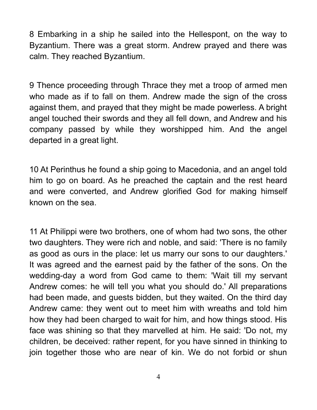8 Embarking in a ship he sailed into the Hellespont, on the way to Byzantium. There was a great storm. Andrew prayed and there was calm. They reached Byzantium.

9 Thence proceeding through Thrace they met a troop of armed men who made as if to fall on them. Andrew made the sign of the cross against them, and prayed that they might be made powerless. A bright angel touched their swords and they all fell down, and Andrew and his company passed by while they worshipped him. And the angel departed in a great light.

10 At Perinthus he found a ship going to Macedonia, and an angel told him to go on board. As he preached the captain and the rest heard and were converted, and Andrew glorified God for making himself known on the sea.

11 At Philippi were two brothers, one of whom had two sons, the other two daughters. They were rich and noble, and said: 'There is no family as good as ours in the place: let us marry our sons to our daughters.' It was agreed and the earnest paid by the father of the sons. On the wedding-day a word from God came to them: 'Wait till my servant Andrew comes: he will tell you what you should do.' All preparations had been made, and guests bidden, but they waited. On the third day Andrew came: they went out to meet him with wreaths and told him how they had been charged to wait for him, and how things stood. His face was shining so that they marvelled at him. He said: 'Do not, my children, be deceived: rather repent, for you have sinned in thinking to join together those who are near of kin. We do not forbid or shun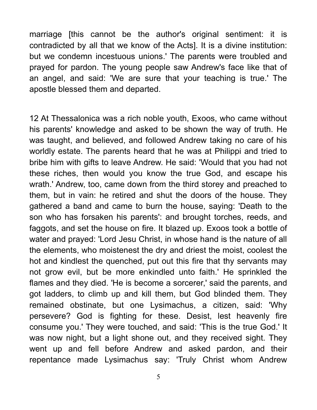marriage [this cannot be the author's original sentiment: it is contradicted by all that we know of the Acts]. It is a divine institution: but we condemn incestuous unions.' The parents were troubled and prayed for pardon. The young people saw Andrew's face like that of an angel, and said: 'We are sure that your teaching is true.' The apostle blessed them and departed.

12 At Thessalonica was a rich noble youth, Exoos, who came without his parents' knowledge and asked to be shown the way of truth. He was taught, and believed, and followed Andrew taking no care of his worldly estate. The parents heard that he was at Philippi and tried to bribe him with gifts to leave Andrew. He said: 'Would that you had not these riches, then would you know the true God, and escape his wrath.' Andrew, too, came down from the third storey and preached to them, but in vain: he retired and shut the doors of the house. They gathered a band and came to burn the house, saying: 'Death to the son who has forsaken his parents': and brought torches, reeds, and faggots, and set the house on fire. It blazed up. Exoos took a bottle of water and prayed: 'Lord Jesu Christ, in whose hand is the nature of all the elements, who moistenest the dry and driest the moist, coolest the hot and kindlest the quenched, put out this fire that thy servants may not grow evil, but be more enkindled unto faith.' He sprinkled the flames and they died. 'He is become a sorcerer,' said the parents, and got ladders, to climb up and kill them, but God blinded them. They remained obstinate, but one Lysimachus, a citizen, said: 'Why persevere? God is fighting for these. Desist, lest heavenly fire consume you.' They were touched, and said: 'This is the true God.' It was now night, but a light shone out, and they received sight. They went up and fell before Andrew and asked pardon, and their repentance made Lysimachus say: 'Truly Christ whom Andrew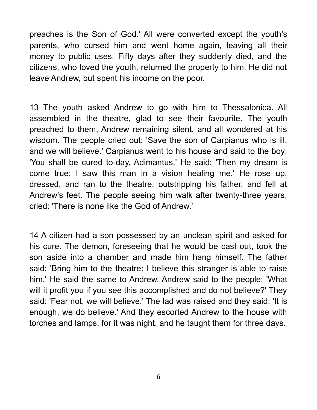preaches is the Son of God.' All were converted except the youth's parents, who cursed him and went home again, leaving all their money to public uses. Fifty days after they suddenly died, and the citizens, who loved the youth, returned the property to him. He did not leave Andrew, but spent his income on the poor.

13 The youth asked Andrew to go with him to Thessalonica. All assembled in the theatre, glad to see their favourite. The youth preached to them, Andrew remaining silent, and all wondered at his wisdom. The people cried out: 'Save the son of Carpianus who is ill, and we will believe.' Carpianus went to his house and said to the boy: 'You shall be cured to-day, Adimantus.' He said: 'Then my dream is come true: I saw this man in a vision healing me.' He rose up, dressed, and ran to the theatre, outstripping his father, and fell at Andrew's feet. The people seeing him walk after twenty-three years, cried: 'There is none like the God of Andrew.'

14 A citizen had a son possessed by an unclean spirit and asked for his cure. The demon, foreseeing that he would be cast out, took the son aside into a chamber and made him hang himself. The father said: 'Bring him to the theatre: I believe this stranger is able to raise him.' He said the same to Andrew. Andrew said to the people: 'What will it profit you if you see this accomplished and do not believe?' They said: 'Fear not, we will believe.' The lad was raised and they said: 'It is enough, we do believe.' And they escorted Andrew to the house with torches and lamps, for it was night, and he taught them for three days.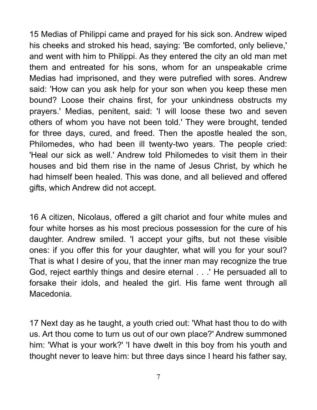15 Medias of Philippi came and prayed for his sick son. Andrew wiped his cheeks and stroked his head, saying: 'Be comforted, only believe,' and went with him to Philippi. As they entered the city an old man met them and entreated for his sons, whom for an unspeakable crime Medias had imprisoned, and they were putrefied with sores. Andrew said: 'How can you ask help for your son when you keep these men bound? Loose their chains first, for your unkindness obstructs my prayers.' Medias, penitent, said: 'I will loose these two and seven others of whom you have not been told.' They were brought, tended for three days, cured, and freed. Then the apostle healed the son, Philomedes, who had been ill twenty-two years. The people cried: 'Heal our sick as well.' Andrew told Philomedes to visit them in their houses and bid them rise in the name of Jesus Christ, by which he had himself been healed. This was done, and all believed and offered gifts, which Andrew did not accept.

16 A citizen, Nicolaus, offered a gilt chariot and four white mules and four white horses as his most precious possession for the cure of his daughter. Andrew smiled. 'I accept your gifts, but not these visible ones: if you offer this for your daughter, what will you for your soul? That is what I desire of you, that the inner man may recognize the true God, reject earthly things and desire eternal . . .' He persuaded all to forsake their idols, and healed the girl. His fame went through all Macedonia.

17 Next day as he taught, a youth cried out: 'What hast thou to do with us. Art thou come to turn us out of our own place?' Andrew summoned him: 'What is your work?' 'I have dwelt in this boy from his youth and thought never to leave him: but three days since I heard his father say,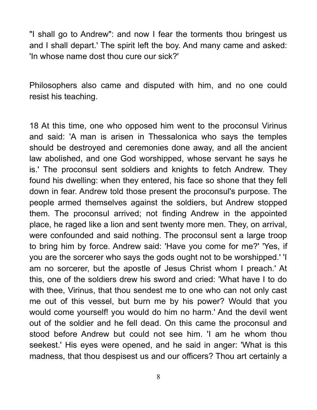"I shall go to Andrew": and now I fear the torments thou bringest us and I shall depart.' The spirit left the boy. And many came and asked: 'In whose name dost thou cure our sick?'

Philosophers also came and disputed with him, and no one could resist his teaching.

18 At this time, one who opposed him went to the proconsul Virinus and said: 'A man is arisen in Thessalonica who says the temples should be destroyed and ceremonies done away, and all the ancient law abolished, and one God worshipped, whose servant he says he is.' The proconsul sent soldiers and knights to fetch Andrew. They found his dwelling: when they entered, his face so shone that they fell down in fear. Andrew told those present the proconsul's purpose. The people armed themselves against the soldiers, but Andrew stopped them. The proconsul arrived; not finding Andrew in the appointed place, he raged like a lion and sent twenty more men. They, on arrival, were confounded and said nothing. The proconsul sent a large troop to bring him by force. Andrew said: 'Have you come for me?' 'Yes, if you are the sorcerer who says the gods ought not to be worshipped.' 'I am no sorcerer, but the apostle of Jesus Christ whom I preach.' At this, one of the soldiers drew his sword and cried: 'What have I to do with thee, Virinus, that thou sendest me to one who can not only cast me out of this vessel, but burn me by his power? Would that you would come yourself! you would do him no harm.' And the devil went out of the soldier and he fell dead. On this came the proconsul and stood before Andrew but could not see him. 'I am he whom thou seekest.' His eyes were opened, and he said in anger: 'What is this madness, that thou despisest us and our officers? Thou art certainly a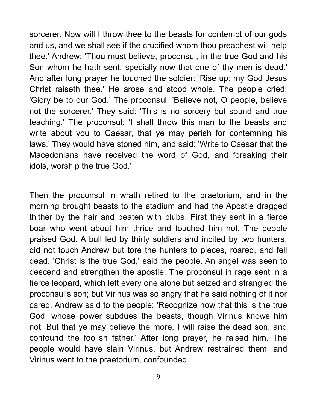sorcerer. Now will I throw thee to the beasts for contempt of our gods and us, and we shall see if the crucified whom thou preachest will help thee.' Andrew: 'Thou must believe, proconsul, in the true God and his Son whom he hath sent, specially now that one of thy men is dead.' And after long prayer he touched the soldier: 'Rise up: my God Jesus Christ raiseth thee.' He arose and stood whole. The people cried: 'Glory be to our God.' The proconsul: 'Believe not, O people, believe not the sorcerer.' They said: 'This is no sorcery but sound and true teaching.' The proconsul: 'I shall throw this man to the beasts and write about you to Caesar, that ye may perish for contemning his laws.' They would have stoned him, and said: 'Write to Caesar that the Macedonians have received the word of God, and forsaking their idols, worship the true God.'

Then the proconsul in wrath retired to the praetorium, and in the morning brought beasts to the stadium and had the Apostle dragged thither by the hair and beaten with clubs. First they sent in a fierce boar who went about him thrice and touched him not. The people praised God. A bull led by thirty soldiers and incited by two hunters, did not touch Andrew but tore the hunters to pieces, roared, and fell dead. 'Christ is the true God,' said the people. An angel was seen to descend and strengthen the apostle. The proconsul in rage sent in a fierce leopard, which left every one alone but seized and strangled the proconsul's son; but Virinus was so angry that he said nothing of it nor cared. Andrew said to the people: 'Recognize now that this is the true God, whose power subdues the beasts, though Virinus knows him not. But that ye may believe the more, I will raise the dead son, and confound the foolish father.' After long prayer, he raised him. The people would have slain Virinus, but Andrew restrained them, and Virinus went to the praetorium, confounded.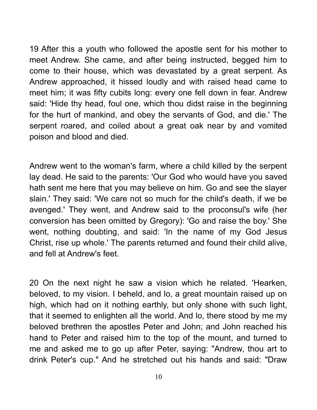19 After this a youth who followed the apostle sent for his mother to meet Andrew. She came, and after being instructed, begged him to come to their house, which was devastated by a great serpent. As Andrew approached, it hissed loudly and with raised head came to meet him; it was fifty cubits long: every one fell down in fear. Andrew said: 'Hide thy head, foul one, which thou didst raise in the beginning for the hurt of mankind, and obey the servants of God, and die.' The serpent roared, and coiled about a great oak near by and vomited poison and blood and died.

Andrew went to the woman's farm, where a child killed by the serpent lay dead. He said to the parents: 'Our God who would have you saved hath sent me here that you may believe on him. Go and see the slayer slain.' They said: 'We care not so much for the child's death, if we be avenged.' They went, and Andrew said to the proconsul's wife (her conversion has been omitted by Gregory): 'Go and raise the boy.' She went, nothing doubting, and said: 'In the name of my God Jesus Christ, rise up whole.' The parents returned and found their child alive, and fell at Andrew's feet.

20 On the next night he saw a vision which he related. 'Hearken, beloved, to my vision. I beheld, and lo, a great mountain raised up on high, which had on it nothing earthly, but only shone with such light, that it seemed to enlighten all the world. And lo, there stood by me my beloved brethren the apostles Peter and John; and John reached his hand to Peter and raised him to the top of the mount, and turned to me and asked me to go up after Peter, saying: "Andrew, thou art to drink Peter's cup." And he stretched out his hands and said: "Draw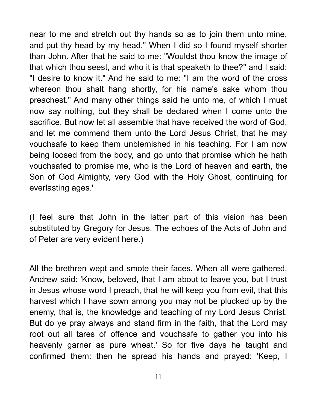near to me and stretch out thy hands so as to join them unto mine, and put thy head by my head." When I did so I found myself shorter than John. After that he said to me: "Wouldst thou know the image of that which thou seest, and who it is that speaketh to thee?" and I said: "I desire to know it." And he said to me: "I am the word of the cross whereon thou shalt hang shortly, for his name's sake whom thou preachest." And many other things said he unto me, of which I must now say nothing, but they shall be declared when I come unto the sacrifice. But now let all assemble that have received the word of God, and let me commend them unto the Lord Jesus Christ, that he may vouchsafe to keep them unblemished in his teaching. For I am now being loosed from the body, and go unto that promise which he hath vouchsafed to promise me, who is the Lord of heaven and earth, the Son of God Almighty, very God with the Holy Ghost, continuing for everlasting ages.'

(I feel sure that John in the latter part of this vision has been substituted by Gregory for Jesus. The echoes of the Acts of John and of Peter are very evident here.)

All the brethren wept and smote their faces. When all were gathered, Andrew said: 'Know, beloved, that I am about to leave you, but I trust in Jesus whose word I preach, that he will keep you from evil, that this harvest which I have sown among you may not be plucked up by the enemy, that is, the knowledge and teaching of my Lord Jesus Christ. But do ye pray always and stand firm in the faith, that the Lord may root out all tares of offence and vouchsafe to gather you into his heavenly garner as pure wheat.' So for five days he taught and confirmed them: then he spread his hands and prayed: 'Keep, I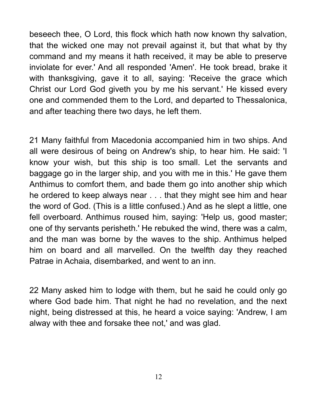beseech thee, O Lord, this flock which hath now known thy salvation, that the wicked one may not prevail against it, but that what by thy command and my means it hath received, it may be able to preserve inviolate for ever.' And all responded 'Amen'. He took bread, brake it with thanksgiving, gave it to all, saying: 'Receive the grace which Christ our Lord God giveth you by me his servant.' He kissed every one and commended them to the Lord, and departed to Thessalonica, and after teaching there two days, he left them.

21 Many faithful from Macedonia accompanied him in two ships. And all were desirous of being on Andrew's ship, to hear him. He said: 'I know your wish, but this ship is too small. Let the servants and baggage go in the larger ship, and you with me in this.' He gave them Anthimus to comfort them, and bade them go into another ship which he ordered to keep always near . . . that they might see him and hear the word of God. (This is a little confused.) And as he slept a little, one fell overboard. Anthimus roused him, saying: 'Help us, good master; one of thy servants perisheth.' He rebuked the wind, there was a calm, and the man was borne by the waves to the ship. Anthimus helped him on board and all marvelled. On the twelfth day they reached Patrae in Achaia, disembarked, and went to an inn.

22 Many asked him to lodge with them, but he said he could only go where God bade him. That night he had no revelation, and the next night, being distressed at this, he heard a voice saying: 'Andrew, I am alway with thee and forsake thee not,' and was glad.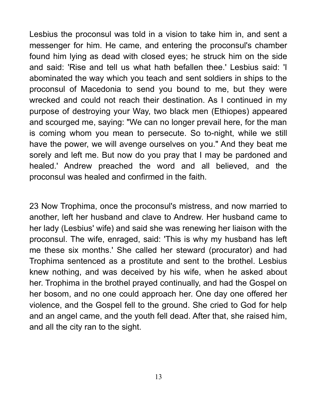Lesbius the proconsul was told in a vision to take him in, and sent a messenger for him. He came, and entering the proconsul's chamber found him lying as dead with closed eyes; he struck him on the side and said: 'Rise and tell us what hath befallen thee.' Lesbius said: 'I abominated the way which you teach and sent soldiers in ships to the proconsul of Macedonia to send you bound to me, but they were wrecked and could not reach their destination. As I continued in my purpose of destroying your Way, two black men (Ethiopes) appeared and scourged me, saying: "We can no longer prevail here, for the man is coming whom you mean to persecute. So to-night, while we still have the power, we will avenge ourselves on you." And they beat me sorely and left me. But now do you pray that I may be pardoned and healed.' Andrew preached the word and all believed, and the proconsul was healed and confirmed in the faith.

23 Now Trophima, once the proconsul's mistress, and now married to another, left her husband and clave to Andrew. Her husband came to her lady (Lesbius' wife) and said she was renewing her liaison with the proconsul. The wife, enraged, said: 'This is why my husband has left me these six months.' She called her steward (procurator) and had Trophima sentenced as a prostitute and sent to the brothel. Lesbius knew nothing, and was deceived by his wife, when he asked about her. Trophima in the brothel prayed continually, and had the Gospel on her bosom, and no one could approach her. One day one offered her violence, and the Gospel fell to the ground. She cried to God for help and an angel came, and the youth fell dead. After that, she raised him, and all the city ran to the sight.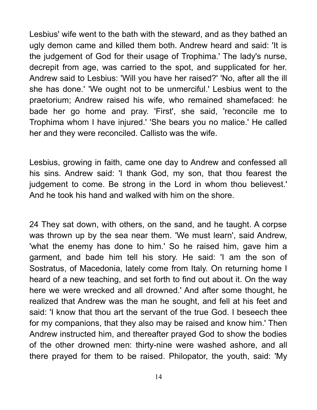Lesbius' wife went to the bath with the steward, and as they bathed an ugly demon came and killed them both. Andrew heard and said: 'It is the judgement of God for their usage of Trophima.' The lady's nurse, decrepit from age, was carried to the spot, and supplicated for her. Andrew said to Lesbius: 'Will you have her raised?' 'No, after all the ill she has done.' 'We ought not to be unmerciful.' Lesbius went to the praetorium; Andrew raised his wife, who remained shamefaced: he bade her go home and pray. 'First', she said, 'reconcile me to Trophima whom I have injured.' 'She bears you no malice.' He called her and they were reconciled. Callisto was the wife.

Lesbius, growing in faith, came one day to Andrew and confessed all his sins. Andrew said: 'I thank God, my son, that thou fearest the judgement to come. Be strong in the Lord in whom thou believest.' And he took his hand and walked with him on the shore.

24 They sat down, with others, on the sand, and he taught. A corpse was thrown up by the sea near them. 'We must learn', said Andrew, 'what the enemy has done to him.' So he raised him, gave him a garment, and bade him tell his story. He said: 'I am the son of Sostratus, of Macedonia, lately come from Italy. On returning home I heard of a new teaching, and set forth to find out about it. On the way here we were wrecked and all drowned.' And after some thought, he realized that Andrew was the man he sought, and fell at his feet and said: 'I know that thou art the servant of the true God. I beseech thee for my companions, that they also may be raised and know him.' Then Andrew instructed him, and thereafter prayed God to show the bodies of the other drowned men: thirty-nine were washed ashore, and all there prayed for them to be raised. Philopator, the youth, said: 'My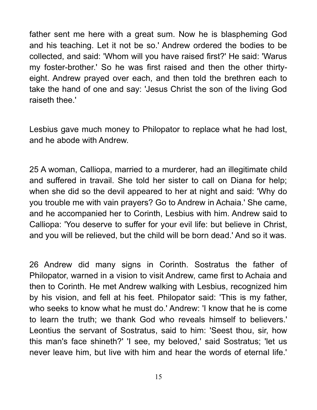father sent me here with a great sum. Now he is blaspheming God and his teaching. Let it not be so.' Andrew ordered the bodies to be collected, and said: 'Whom will you have raised first?' He said: 'Warus my foster-brother.' So he was first raised and then the other thirtyeight. Andrew prayed over each, and then told the brethren each to take the hand of one and say: 'Jesus Christ the son of the living God raiseth thee.'

Lesbius gave much money to Philopator to replace what he had lost, and he abode with Andrew.

25 A woman, Calliopa, married to a murderer, had an illegitimate child and suffered in travail. She told her sister to call on Diana for help; when she did so the devil appeared to her at night and said: 'Why do you trouble me with vain prayers? Go to Andrew in Achaia.' She came, and he accompanied her to Corinth, Lesbius with him. Andrew said to Calliopa: 'You deserve to suffer for your evil life: but believe in Christ, and you will be relieved, but the child will be born dead.' And so it was.

26 Andrew did many signs in Corinth. Sostratus the father of Philopator, warned in a vision to visit Andrew, came first to Achaia and then to Corinth. He met Andrew walking with Lesbius, recognized him by his vision, and fell at his feet. Philopator said: 'This is my father, who seeks to know what he must do.' Andrew: 'I know that he is come to learn the truth; we thank God who reveals himself to believers.' Leontius the servant of Sostratus, said to him: 'Seest thou, sir, how this man's face shineth?' 'I see, my beloved,' said Sostratus; 'let us never leave him, but live with him and hear the words of eternal life.'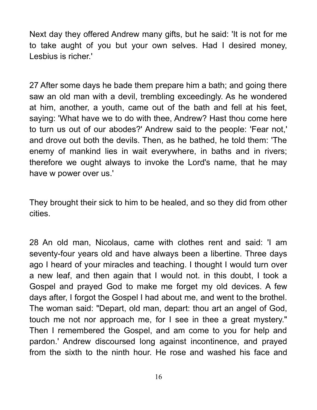Next day they offered Andrew many gifts, but he said: 'It is not for me to take aught of you but your own selves. Had I desired money, Lesbius is richer.'

27 After some days he bade them prepare him a bath; and going there saw an old man with a devil, trembling exceedingly. As he wondered at him, another, a youth, came out of the bath and fell at his feet, saying: 'What have we to do with thee, Andrew? Hast thou come here to turn us out of our abodes?' Andrew said to the people: 'Fear not,' and drove out both the devils. Then, as he bathed, he told them: 'The enemy of mankind lies in wait everywhere, in baths and in rivers; therefore we ought always to invoke the Lord's name, that he may have w power over us.'

They brought their sick to him to be healed, and so they did from other cities.

28 An old man, Nicolaus, came with clothes rent and said: 'I am seventy-four years old and have always been a libertine. Three days ago I heard of your miracles and teaching. I thought I would turn over a new leaf, and then again that I would not. in this doubt, I took a Gospel and prayed God to make me forget my old devices. A few days after, I forgot the Gospel I had about me, and went to the brothel. The woman said: "Depart, old man, depart: thou art an angel of God, touch me not nor approach me, for I see in thee a great mystery." Then I remembered the Gospel, and am come to you for help and pardon.' Andrew discoursed long against incontinence, and prayed from the sixth to the ninth hour. He rose and washed his face and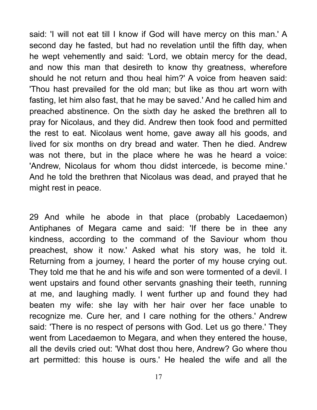said: 'I will not eat till I know if God will have mercy on this man.' A second day he fasted, but had no revelation until the fifth day, when he wept vehemently and said: 'Lord, we obtain mercy for the dead, and now this man that desireth to know thy greatness, wherefore should he not return and thou heal him?' A voice from heaven said: 'Thou hast prevailed for the old man; but like as thou art worn with fasting, let him also fast, that he may be saved.' And he called him and preached abstinence. On the sixth day he asked the brethren all to pray for Nicolaus, and they did. Andrew then took food and permitted the rest to eat. Nicolaus went home, gave away all his goods, and lived for six months on dry bread and water. Then he died. Andrew was not there, but in the place where he was he heard a voice: 'Andrew, Nicolaus for whom thou didst intercede, is become mine.' And he told the brethren that Nicolaus was dead, and prayed that he might rest in peace.

29 And while he abode in that place (probably Lacedaemon) Antiphanes of Megara came and said: 'If there be in thee any kindness, according to the command of the Saviour whom thou preachest, show it now.' Asked what his story was, he told it. Returning from a journey, I heard the porter of my house crying out. They told me that he and his wife and son were tormented of a devil. I went upstairs and found other servants gnashing their teeth, running at me, and laughing madly. I went further up and found they had beaten my wife: she lay with her hair over her face unable to recognize me. Cure her, and I care nothing for the others.' Andrew said: 'There is no respect of persons with God. Let us go there.' They went from Lacedaemon to Megara, and when they entered the house, all the devils cried out: 'What dost thou here, Andrew? Go where thou art permitted: this house is ours.' He healed the wife and all the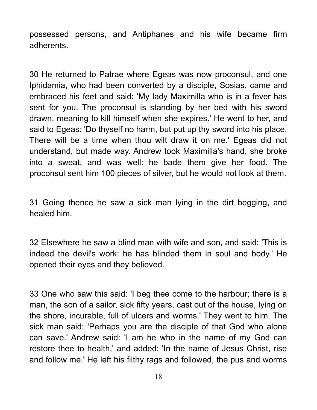possessed persons, and Antiphanes and his wife became firm adherents.

30 He returned to Patrae where Egeas was now proconsul, and one Iphidamia, who had been converted by a disciple, Sosias, came and embraced his feet and said: 'My lady Maximilla who is in a fever has sent for you. The proconsul is standing by her bed with his sword drawn, meaning to kill himself when she expires.' He went to her, and said to Egeas: 'Do thyself no harm, but put up thy sword into his place. There will be a time when thou wilt draw it on me.' Egeas did not understand, but made way. Andrew took Maximilla's hand, she broke into a sweat, and was well: he bade them give her food. The proconsul sent him 100 pieces of silver, but he would not look at them.

31 Going thence he saw a sick man lying in the dirt begging, and healed him.

32 Elsewhere he saw a blind man with wife and son, and said: 'This is indeed the devil's work: he has blinded them in soul and body.' He opened their eyes and they believed.

33 One who saw this said: 'I beg thee come to the harbour; there is a man, the son of a sailor, sick fifty years, cast out of the house, lying on the shore, incurable, full of ulcers and worms.' They went to him. The sick man said: 'Perhaps you are the disciple of that God who alone can save.' Andrew said: 'I am he who in the name of my God can restore thee to health,' and added: 'In the name of Jesus Christ, rise and follow me.' He left his filthy rags and followed, the pus and worms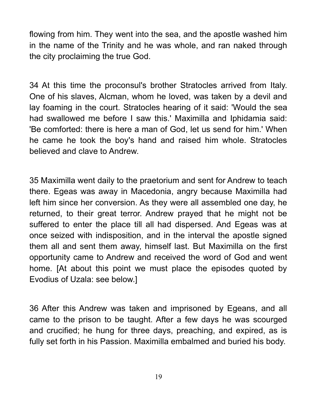flowing from him. They went into the sea, and the apostle washed him in the name of the Trinity and he was whole, and ran naked through the city proclaiming the true God.

34 At this time the proconsul's brother Stratocles arrived from Italy. One of his slaves, Alcman, whom he loved, was taken by a devil and lay foaming in the court. Stratocles hearing of it said: 'Would the sea had swallowed me before I saw this.' Maximilla and Iphidamia said: 'Be comforted: there is here a man of God, let us send for him.' When he came he took the boy's hand and raised him whole. Stratocles believed and clave to Andrew.

35 Maximilla went daily to the praetorium and sent for Andrew to teach there. Egeas was away in Macedonia, angry because Maximilla had left him since her conversion. As they were all assembled one day, he returned, to their great terror. Andrew prayed that he might not be suffered to enter the place till all had dispersed. And Egeas was at once seized with indisposition, and in the interval the apostle signed them all and sent them away, himself last. But Maximilla on the first opportunity came to Andrew and received the word of God and went home. [At about this point we must place the episodes quoted by Evodius of Uzala: see below.]

36 After this Andrew was taken and imprisoned by Egeans, and all came to the prison to be taught. After a few days he was scourged and crucified; he hung for three days, preaching, and expired, as is fully set forth in his Passion. Maximilla embalmed and buried his body.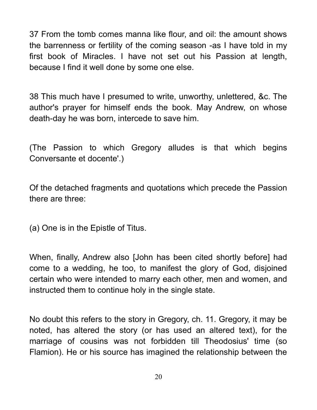37 From the tomb comes manna like flour, and oil: the amount shows the barrenness or fertility of the coming season -as I have told in my first book of Miracles. I have not set out his Passion at length, because I find it well done by some one else.

38 This much have I presumed to write, unworthy, unlettered, &c. The author's prayer for himself ends the book. May Andrew, on whose death-day he was born, intercede to save him.

(The Passion to which Gregory alludes is that which begins Conversante et docente'.)

Of the detached fragments and quotations which precede the Passion there are three:

(a) One is in the Epistle of Titus.

When, finally, Andrew also [John has been cited shortly before] had come to a wedding, he too, to manifest the glory of God, disjoined certain who were intended to marry each other, men and women, and instructed them to continue holy in the single state.

No doubt this refers to the story in Gregory, ch. 11. Gregory, it may be noted, has altered the story (or has used an altered text), for the marriage of cousins was not forbidden till Theodosius' time (so Flamion). He or his source has imagined the relationship between the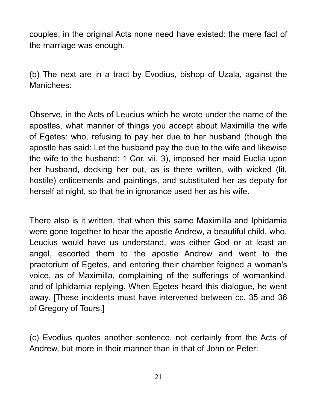couples; in the original Acts none need have existed: the mere fact of the marriage was enough.

(b) The next are in a tract by Evodius, bishop of Uzala, against the Manichees:

Observe, in the Acts of Leucius which he wrote under the name of the apostles, what manner of things you accept about Maximilla the wife of Egetes: who, refusing to pay her due to her husband (though the apostle has said: Let the husband pay the due to the wife and likewise the wife to the husband: 1 Cor. vii. 3), imposed her maid Euclia upon her husband, decking her out, as is there written, with wicked (lit. hostile) enticements and paintings, and substituted her as deputy for herself at night, so that he in ignorance used her as his wife.

There also is it written, that when this same Maximilla and Iphidamia were gone together to hear the apostle Andrew, a beautiful child, who, Leucius would have us understand, was either God or at least an angel, escorted them to the apostle Andrew and went to the praetorium of Egetes, and entering their chamber feigned a woman's voice, as of Maximilla, complaining of the sufferings of womankind, and of Iphidamia replying. When Egetes heard this dialogue, he went away. [These incidents must have intervened between cc. 35 and 36 of Gregory of Tours.]

(c) Evodius quotes another sentence, not certainly from the Acts of Andrew, but more in their manner than in that of John or Peter: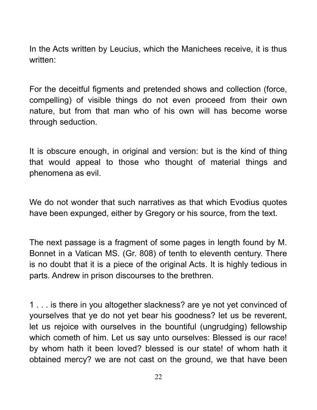In the Acts written by Leucius, which the Manichees receive, it is thus written:

For the deceitful figments and pretended shows and collection (force, compelling) of visible things do not even proceed from their own nature, but from that man who of his own will has become worse through seduction.

It is obscure enough, in original and version: but is the kind of thing that would appeal to those who thought of material things and phenomena as evil.

We do not wonder that such narratives as that which Evodius quotes have been expunged, either by Gregory or his source, from the text.

The next passage is a fragment of some pages in length found by M. Bonnet in a Vatican MS. (Gr. 808) of tenth to eleventh century. There is no doubt that it is a piece of the original Acts. It is highly tedious in parts. Andrew in prison discourses to the brethren.

1 . . . is there in you altogether slackness? are ye not yet convinced of yourselves that ye do not yet bear his goodness? let us be reverent, let us rejoice with ourselves in the bountiful (ungrudging) fellowship which cometh of him. Let us say unto ourselves: Blessed is our race! by whom hath it been loved? blessed is our state! of whom hath it obtained mercy? we are not cast on the ground, we that have been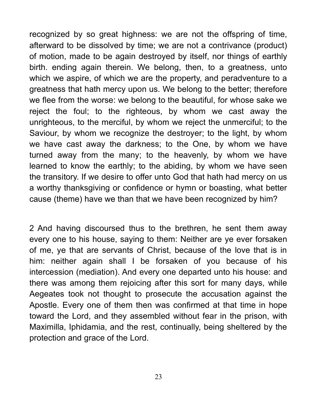recognized by so great highness: we are not the offspring of time, afterward to be dissolved by time; we are not a contrivance (product) of motion, made to be again destroyed by itself, nor things of earthly birth. ending again therein. We belong, then, to a greatness, unto which we aspire, of which we are the property, and peradventure to a greatness that hath mercy upon us. We belong to the better; therefore we flee from the worse: we belong to the beautiful, for whose sake we reject the foul; to the righteous, by whom we cast away the unrighteous, to the merciful, by whom we reject the unmerciful; to the Saviour, by whom we recognize the destroyer; to the light, by whom we have cast away the darkness; to the One, by whom we have turned away from the many; to the heavenly, by whom we have learned to know the earthly; to the abiding, by whom we have seen the transitory. If we desire to offer unto God that hath had mercy on us a worthy thanksgiving or confidence or hymn or boasting, what better cause (theme) have we than that we have been recognized by him?

2 And having discoursed thus to the brethren, he sent them away every one to his house, saying to them: Neither are ye ever forsaken of me, ye that are servants of Christ, because of the love that is in him: neither again shall I be forsaken of you because of his intercession (mediation). And every one departed unto his house: and there was among them rejoicing after this sort for many days, while Aegeates took not thought to prosecute the accusation against the Apostle. Every one of them then was confirmed at that time in hope toward the Lord, and they assembled without fear in the prison, with Maximilla, Iphidamia, and the rest, continually, being sheltered by the protection and grace of the Lord.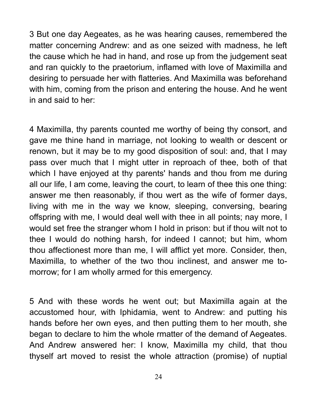3 But one day Aegeates, as he was hearing causes, remembered the matter concerning Andrew: and as one seized with madness, he left the cause which he had in hand, and rose up from the judgement seat and ran quickly to the praetorium, inflamed with love of Maximilla and desiring to persuade her with flatteries. And Maximilla was beforehand with him, coming from the prison and entering the house. And he went in and said to her:

4 Maximilla, thy parents counted me worthy of being thy consort, and gave me thine hand in marriage, not looking to wealth or descent or renown, but it may be to my good disposition of soul: and, that I may pass over much that I might utter in reproach of thee, both of that which I have enjoyed at thy parents' hands and thou from me during all our life, I am come, leaving the court, to learn of thee this one thing: answer me then reasonably, if thou wert as the wife of former days, living with me in the way we know, sleeping, conversing, bearing offspring with me, I would deal well with thee in all points; nay more, I would set free the stranger whom I hold in prison: but if thou wilt not to thee I would do nothing harsh, for indeed I cannot; but him, whom thou affectionest more than me, I will afflict yet more. Consider, then, Maximilla, to whether of the two thou inclinest, and answer me tomorrow; for I am wholly armed for this emergency.

5 And with these words he went out; but Maximilla again at the accustomed hour, with Iphidamia, went to Andrew: and putting his hands before her own eyes, and then putting them to her mouth, she began to declare to him the whole rmatter of the demand of Aegeates. And Andrew answered her: I know, Maximilla my child, that thou thyself art moved to resist the whole attraction (promise) of nuptial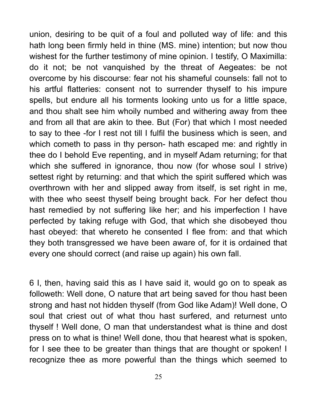union, desiring to be quit of a foul and polluted way of life: and this hath long been firmly held in thine (MS. mine) intention; but now thou wishest for the further testimony of mine opinion. I testify, O Maximilla: do it not; be not vanquished by the threat of Aegeates: be not overcome by his discourse: fear not his shameful counsels: fall not to his artful flatteries: consent not to surrender thyself to his impure spells, but endure all his torments looking unto us for a little space, and thou shalt see him whoily numbed and withering away from thee and from all that are akin to thee. But (For) that which I most needed to say to thee -for I rest not till I fulfil the business which is seen, and which cometh to pass in thy person- hath escaped me: and rightly in thee do I behold Eve repenting, and in myself Adam returning; for that which she suffered in ignorance, thou now (for whose soul I strive) settest right by returning: and that which the spirit suffered which was overthrown with her and slipped away from itself, is set right in me, with thee who seest thyself being brought back. For her defect thou hast remedied by not suffering like her; and his imperfection I have perfected by taking refuge with God, that which she disobeyed thou hast obeyed: that whereto he consented I flee from: and that which they both transgressed we have been aware of, for it is ordained that every one should correct (and raise up again) his own fall.

6 I, then, having said this as I have said it, would go on to speak as followeth: Well done, O nature that art being saved for thou hast been strong and hast not hidden thyself (from God like Adam)! Well done, O soul that criest out of what thou hast surfered, and returnest unto thyself ! Well done, O man that understandest what is thine and dost press on to what is thine! Well done, thou that hearest what is spoken, for I see thee to be greater than things that are thought or spoken! I recognize thee as more powerful than the things which seemed to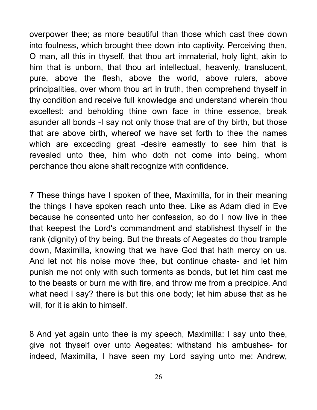overpower thee; as more beautiful than those which cast thee down into foulness, which brought thee down into captivity. Perceiving then, O man, all this in thyself, that thou art immaterial, holy light, akin to him that is unborn, that thou art intellectual, heavenly, translucent, pure, above the flesh, above the world, above rulers, above principalities, over whom thou art in truth, then comprehend thyself in thy condition and receive full knowledge and understand wherein thou excellest: and beholding thine own face in thine essence, break asunder all bonds -I say not only those that are of thy birth, but those that are above birth, whereof we have set forth to thee the names which are excecding great -desire earnestly to see him that is revealed unto thee, him who doth not come into being, whom perchance thou alone shalt recognize with confidence.

7 These things have I spoken of thee, Maximilla, for in their meaning the things I have spoken reach unto thee. Like as Adam died in Eve because he consented unto her confession, so do I now live in thee that keepest the Lord's commandment and stablishest thyself in the rank (dignity) of thy being. But the threats of Aegeates do thou trample down, Maximilla, knowing that we have God that hath mercy on us. And let not his noise move thee, but continue chaste- and let him punish me not only with such torments as bonds, but let him cast me to the beasts or burn me with fire, and throw me from a precipice. And what need I say? there is but this one body; let him abuse that as he will, for it is akin to himself.

8 And yet again unto thee is my speech, Maximilla: I say unto thee, give not thyself over unto Aegeates: withstand his ambushes- for indeed, Maximilla, I have seen my Lord saying unto me: Andrew,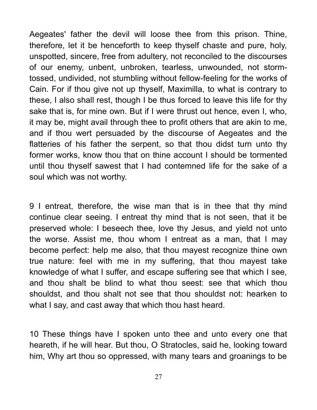Aegeates' father the devil will loose thee from this prison. Thine, therefore, let it be henceforth to keep thyself chaste and pure, holy, unspotted, sincere, free from adultery, not reconciled to the discourses of our enemy, unbent, unbroken, tearless, unwounded, not stormtossed, undivided, not stumbling without fellow-feeling for the works of Cain. For if thou give not up thyself, Maximilla, to what is contrary to these, I also shall rest, though I be thus forced to leave this life for thy sake that is, for mine own. But if I were thrust out hence, even I, who, it may be, might avail through thee to profit others that are akin to me, and if thou wert persuaded by the discourse of Aegeates and the flatteries of his father the serpent, so that thou didst turn unto thy former works, know thou that on thine account I should be tormented until thou thyself sawest that I had contemned life for the sake of a soul which was not worthy.

9 I entreat, therefore, the wise man that is in thee that thy mind continue clear seeing. I entreat thy mind that is not seen, that it be preserved whole: I beseech thee, love thy Jesus, and yield not unto the worse. Assist me, thou whom I entreat as a man, that I may become perfect: help me also, that thou mayest recognize thine own true nature: feel with me in my suffering, that thou mayest take knowledge of what I suffer, and escape suffering see that which I see, and thou shalt be blind to what thou seest: see that which thou shouldst, and thou shalt not see that thou shouldst not: hearken to what I say, and cast away that which thou hast heard.

10 These things have I spoken unto thee and unto every one that heareth, if he will hear. But thou, O Stratocles, said he, looking toward him, Why art thou so oppressed, with many tears and groanings to be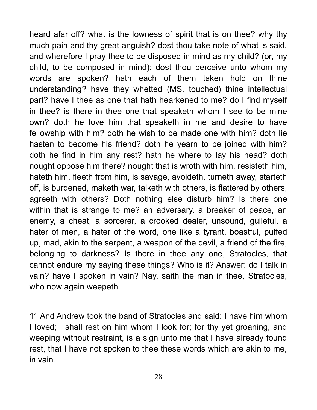heard afar off? what is the lowness of spirit that is on thee? why thy much pain and thy great anguish? dost thou take note of what is said, and wherefore I pray thee to be disposed in mind as my child? (or, my child, to be composed in mind): dost thou perceive unto whom my words are spoken? hath each of them taken hold on thine understanding? have they whetted (MS. touched) thine intellectual part? have I thee as one that hath hearkened to me? do I find myself in thee? is there in thee one that speaketh whom I see to be mine own? doth he love him that speaketh in me and desire to have fellowship with him? doth he wish to be made one with him? doth lie hasten to become his friend? doth he yearn to be joined with him? doth he find in him any rest? hath he where to lay his head? doth nought oppose him there? nought that is wroth with him, resisteth him, hateth him, fleeth from him, is savage, avoideth, turneth away, starteth off, is burdened, maketh war, talketh with others, is flattered by others, agreeth with others? Doth nothing else disturb him? Is there one within that is strange to me? an adversary, a breaker of peace, an enemy, a cheat, a sorcerer, a crooked dealer, unsound, guileful, a hater of men, a hater of the word, one like a tyrant, boastful, puffed up, mad, akin to the serpent, a weapon of the devil, a friend of the fire, belonging to darkness? Is there in thee any one, Stratocles, that cannot endure my saying these things? Who is it? Answer: do I talk in vain? have I spoken in vain? Nay, saith the man in thee, Stratocles, who now again weepeth.

11 And Andrew took the band of Stratocles and said: I have him whom I loved; I shall rest on him whom I look for; for thy yet groaning, and weeping without restraint, is a sign unto me that I have already found rest, that I have not spoken to thee these words which are akin to me, in vain.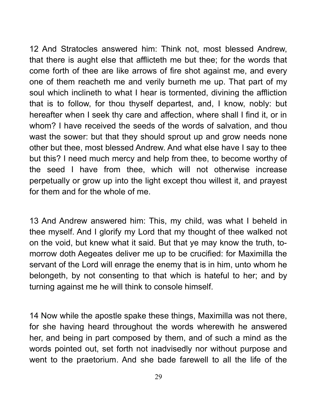12 And Stratocles answered him: Think not, most blessed Andrew, that there is aught else that afflicteth me but thee; for the words that come forth of thee are like arrows of fire shot against me, and every one of them reacheth me and verily burneth me up. That part of my soul which inclineth to what I hear is tormented, divining the affliction that is to follow, for thou thyself departest, and, I know, nobly: but hereafter when I seek thy care and affection, where shall I find it, or in whom? I have received the seeds of the words of salvation, and thou wast the sower: but that they should sprout up and grow needs none other but thee, most blessed Andrew. And what else have I say to thee but this? I need much mercy and help from thee, to become worthy of the seed I have from thee, which will not otherwise increase perpetually or grow up into the light except thou willest it, and prayest for them and for the whole of me.

13 And Andrew answered him: This, my child, was what I beheld in thee myself. And I glorify my Lord that my thought of thee walked not on the void, but knew what it said. But that ye may know the truth, tomorrow doth Aegeates deliver me up to be crucified: for Maximilla the servant of the Lord will enrage the enemy that is in him, unto whom he belongeth, by not consenting to that which is hateful to her; and by turning against me he will think to console himself.

14 Now while the apostle spake these things, Maximilla was not there, for she having heard throughout the words wherewith he answered her, and being in part composed by them, and of such a mind as the words pointed out, set forth not inadvisedly nor without purpose and went to the praetorium. And she bade farewell to all the life of the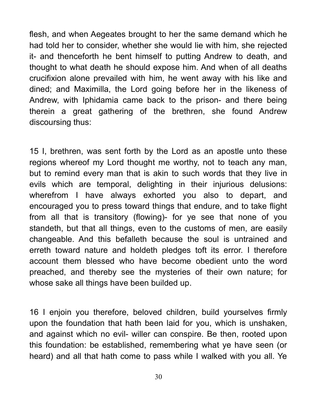flesh, and when Aegeates brought to her the same demand which he had told her to consider, whether she would lie with him, she rejected it- and thenceforth he bent himself to putting Andrew to death, and thought to what death he should expose him. And when of all deaths crucifixion alone prevailed with him, he went away with his like and dined; and Maximilla, the Lord going before her in the likeness of Andrew, with Iphidamia came back to the prison- and there being therein a great gathering of the brethren, she found Andrew discoursing thus:

15 I, brethren, was sent forth by the Lord as an apostle unto these regions whereof my Lord thought me worthy, not to teach any man, but to remind every man that is akin to such words that they live in evils which are temporal, delighting in their injurious delusions: wherefrom I have always exhorted you also to depart, and encouraged you to press toward things that endure, and to take flight from all that is transitory (flowing)- for ye see that none of you standeth, but that all things, even to the customs of men, are easily changeable. And this befalleth because the soul is untrained and erreth toward nature and holdeth pledges toft its error. I therefore account them blessed who have become obedient unto the word preached, and thereby see the mysteries of their own nature; for whose sake all things have been builded up.

16 I enjoin you therefore, beloved children, build yourselves firmly upon the foundation that hath been laid for you, which is unshaken, and against which no evil- willer can conspire. Be then, rooted upon this foundation: be established, remembering what ye have seen (or heard) and all that hath come to pass while I walked with you all. Ye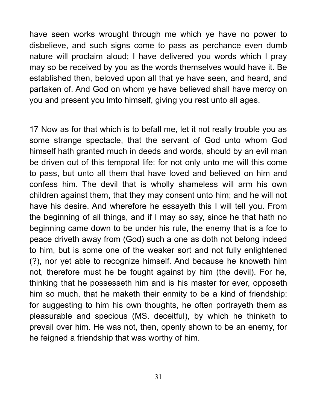have seen works wrought through me which ye have no power to disbelieve, and such signs come to pass as perchance even dumb nature will proclaim aloud; I have delivered you words which I pray may so be received by you as the words themselves would have it. Be established then, beloved upon all that ye have seen, and heard, and partaken of. And God on whom ye have believed shall have mercy on you and present you lmto himself, giving you rest unto all ages.

17 Now as for that which is to befall me, let it not really trouble you as some strange spectacle, that the servant of God unto whom God himself hath granted much in deeds and words, should by an evil man be driven out of this temporal life: for not only unto me will this come to pass, but unto all them that have loved and believed on him and confess him. The devil that is wholly shameless will arm his own children against them, that they may consent unto him; and he will not have his desire. And wherefore he essayeth this I will tell you. From the beginning of all things, and if I may so say, since he that hath no beginning came down to be under his rule, the enemy that is a foe to peace driveth away from (God) such a one as doth not belong indeed to him, but is some one of the weaker sort and not fully enlightened (?), nor yet able to recognize himself. And because he knoweth him not, therefore must he be fought against by him (the devil). For he, thinking that he possesseth him and is his master for ever, opposeth him so much, that he maketh their enmity to be a kind of friendship: for suggesting to him his own thoughts, he often portrayeth them as pleasurable and specious (MS. deceitful), by which he thinketh to prevail over him. He was not, then, openly shown to be an enemy, for he feigned a friendship that was worthy of him.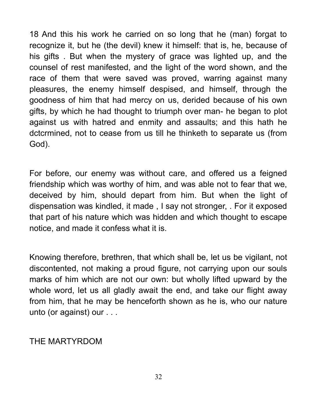18 And this his work he carried on so long that he (man) forgat to recognize it, but he (the devil) knew it himself: that is, he, because of his gifts . But when the mystery of grace was lighted up, and the counsel of rest manifested, and the light of the word shown, and the race of them that were saved was proved, warring against many pleasures, the enemy himself despised, and himself, through the goodness of him that had mercy on us, derided because of his own gifts, by which he had thought to triumph over man- he began to plot against us with hatred and enmity and assaults; and this hath he dctcrmined, not to cease from us till he thinketh to separate us (from God).

For before, our enemy was without care, and offered us a feigned friendship which was worthy of him, and was able not to fear that we, deceived by him, should depart from him. But when the light of dispensation was kindled, it made , I say not stronger, . For it exposed that part of his nature which was hidden and which thought to escape notice, and made it confess what it is.

Knowing therefore, brethren, that which shall be, let us be vigilant, not discontented, not making a proud figure, not carrying upon our souls marks of him which are not our own: but wholly lifted upward by the whole word, let us all gladly await the end, and take our flight away from him, that he may be henceforth shown as he is, who our nature unto (or against) our . . .

## THE MARTYRDOM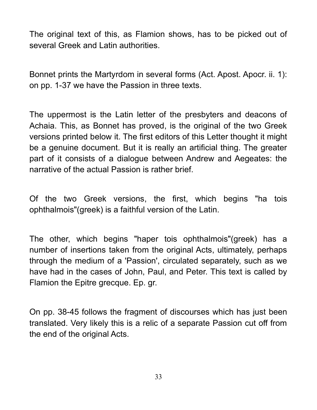The original text of this, as Flamion shows, has to be picked out of several Greek and Latin authorities.

Bonnet prints the Martyrdom in several forms (Act. Apost. Apocr. ii. 1): on pp. 1-37 we have the Passion in three texts.

The uppermost is the Latin letter of the presbyters and deacons of Achaia. This, as Bonnet has proved, is the original of the two Greek versions printed below it. The first editors of this Letter thought it might be a genuine document. But it is really an artificial thing. The greater part of it consists of a dialogue between Andrew and Aegeates: the narrative of the actual Passion is rather brief.

Of the two Greek versions, the first, which begins "ha tois ophthalmois"(greek) is a faithful version of the Latin.

The other, which begins "haper tois ophthalmois"(greek) has a number of insertions taken from the original Acts, ultimately, perhaps through the medium of a 'Passion', circulated separately, such as we have had in the cases of John, Paul, and Peter. This text is called by Flamion the Epitre grecque. Ep. gr.

On pp. 38-45 follows the fragment of discourses which has just been translated. Very likely this is a relic of a separate Passion cut off from the end of the original Acts.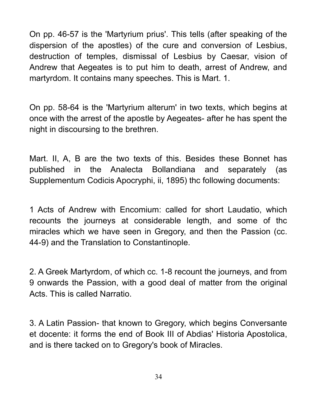On pp. 46-57 is the 'Martyrium prius'. This tells (after speaking of the dispersion of the apostles) of the cure and conversion of Lesbius, destruction of temples, dismissal of Lesbius by Caesar, vision of Andrew that Aegeates is to put him to death, arrest of Andrew, and martyrdom. It contains many speeches. This is Mart. 1.

On pp. 58-64 is the 'Martyrium alterum' in two texts, which begins at once with the arrest of the apostle by Aegeates- after he has spent the night in discoursing to the brethren.

Mart. II, A, B are the two texts of this. Besides these Bonnet has published in the Analecta Bollandiana and separately (as Supplementum Codicis Apocryphi, ii, 1895) thc following documents:

1 Acts of Andrew with Encomium: called for short Laudatio, which recounts the journeys at considerable length, and some of thc miracles which we have seen in Gregory, and then the Passion (cc. 44-9) and the Translation to Constantinople.

2. A Greek Martyrdom, of which cc. 1-8 recount the journeys, and from 9 onwards the Passion, with a good deal of matter from the original Acts. This is called Narratio.

3. A Latin Passion- that known to Gregory, which begins Conversante et docente: it forms the end of Book III of Abdias' Historia Apostolica, and is there tacked on to Gregory's book of Miracles.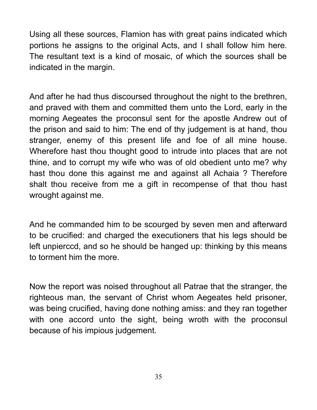Using all these sources, Flamion has with great pains indicated which portions he assigns to the original Acts, and I shall follow him here. The resultant text is a kind of mosaic, of which the sources shall be indicated in the margin.

And after he had thus discoursed throughout the night to the brethren, and praved with them and committed them unto the Lord, early in the morning Aegeates the proconsul sent for the apostle Andrew out of the prison and said to him: The end of thy judgement is at hand, thou stranger, enemy of this present life and foe of all mine house. Wherefore hast thou thought good to intrude into places that are not thine, and to corrupt my wife who was of old obedient unto me? why hast thou done this against me and against all Achaia ? Therefore shalt thou receive from me a gift in recompense of that thou hast wrought against me.

And he commanded him to be scourged by seven men and afterward to be crucified: and charged the executioners that his legs should be left unpierccd, and so he should be hanged up: thinking by this means to torment him the more.

Now the report was noised throughout all Patrae that the stranger, the righteous man, the servant of Christ whom Aegeates held prisoner, was being crucified, having done nothing amiss: and they ran together with one accord unto the sight, being wroth with the proconsul because of his impious judgement.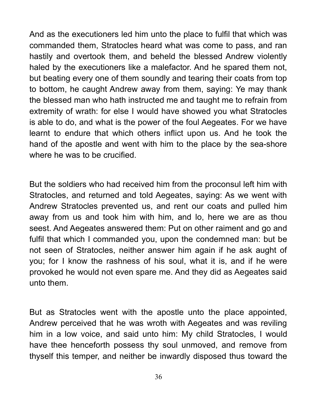And as the executioners led him unto the place to fulfil that which was commanded them, Stratocles heard what was come to pass, and ran hastily and overtook them, and beheld the blessed Andrew violently haled by the executioners like a malefactor. And he spared them not, but beating every one of them soundly and tearing their coats from top to bottom, he caught Andrew away from them, saying: Ye may thank the blessed man who hath instructed me and taught me to refrain from extremity of wrath: for else I would have showed you what Stratocles is able to do, and what is the power of the foul Aegeates. For we have learnt to endure that which others inflict upon us. And he took the hand of the apostle and went with him to the place by the sea-shore where he was to be crucified.

But the soldiers who had received him from the proconsul left him with Stratocles, and returned and told Aegeates, saying: As we went with Andrew Stratocles prevented us, and rent our coats and pulled him away from us and took him with him, and lo, here we are as thou seest. And Aegeates answered them: Put on other raiment and go and fulfil that which I commanded you, upon the condemned man: but be not seen of Stratocles, neither answer him again if he ask aught of you; for I know the rashness of his soul, what it is, and if he were provoked he would not even spare me. And they did as Aegeates said unto them.

But as Stratocles went with the apostle unto the place appointed, Andrew perceived that he was wroth with Aegeates and was reviling him in a low voice, and said unto him: My child Stratocles, I would have thee henceforth possess thy soul unmoved, and remove from thyself this temper, and neither be inwardly disposed thus toward the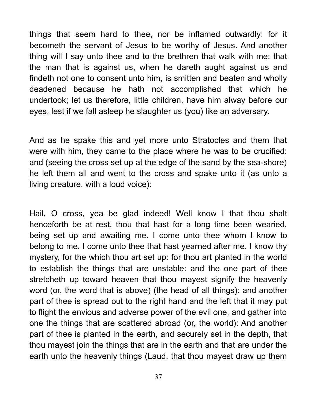things that seem hard to thee, nor be inflamed outwardly: for it becometh the servant of Jesus to be worthy of Jesus. And another thing will I say unto thee and to the brethren that walk with me: that the man that is against us, when he dareth aught against us and findeth not one to consent unto him, is smitten and beaten and wholly deadened because he hath not accomplished that which he undertook; let us therefore, little children, have him alway before our eyes, lest if we fall asleep he slaughter us (you) like an adversary.

And as he spake this and yet more unto Stratocles and them that were with him, they came to the place where he was to be crucified: and (seeing the cross set up at the edge of the sand by the sea-shore) he left them all and went to the cross and spake unto it (as unto a living creature, with a loud voice):

Hail, O cross, yea be glad indeed! Well know I that thou shalt henceforth be at rest, thou that hast for a long time been wearied, being set up and awaiting me. I come unto thee whom I know to belong to me. I come unto thee that hast yearned after me. I know thy mystery, for the which thou art set up: for thou art planted in the world to establish the things that are unstable: and the one part of thee stretcheth up toward heaven that thou mayest signify the heavenly word (or, the word that is above) (the head of all things): and another part of thee is spread out to the right hand and the left that it may put to flight the envious and adverse power of the evil one, and gather into one the things that are scattered abroad (or, the world): And another part of thee is planted in the earth, and securely set in the depth, that thou mayest join the things that are in the earth and that are under the earth unto the heavenly things (Laud. that thou mayest draw up them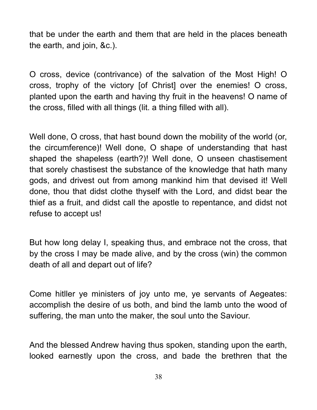that be under the earth and them that are held in the places beneath the earth, and join, &c.).

O cross, device (contrivance) of the salvation of the Most High! O cross, trophy of the victory [of Christ] over the enemies! O cross, planted upon the earth and having thy fruit in the heavens! O name of the cross, filled with all things (lit. a thing filled with all).

Well done, O cross, that hast bound down the mobility of the world (or, the circumference)! Well done, O shape of understanding that hast shaped the shapeless (earth?)! Well done, O unseen chastisement that sorely chastisest the substance of the knowledge that hath many gods, and drivest out from among mankind him that devised it! Well done, thou that didst clothe thyself with the Lord, and didst bear the thief as a fruit, and didst call the apostle to repentance, and didst not refuse to accept us!

But how long delay I, speaking thus, and embrace not the cross, that by the cross I may be made alive, and by the cross (win) the common death of all and depart out of life?

Come hitller ye ministers of joy unto me, ye servants of Aegeates: accomplish the desire of us both, and bind the lamb unto the wood of suffering, the man unto the maker, the soul unto the Saviour.

And the blessed Andrew having thus spoken, standing upon the earth, looked earnestly upon the cross, and bade the brethren that the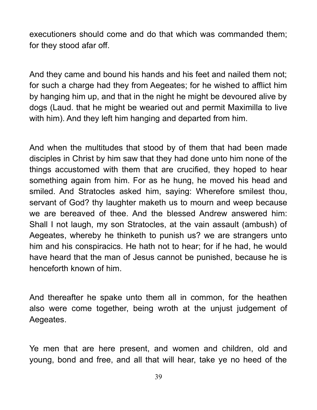executioners should come and do that which was commanded them; for they stood afar off.

And they came and bound his hands and his feet and nailed them not; for such a charge had they from Aegeates; for he wished to afflict him by hanging him up, and that in the night he might be devoured alive by dogs (Laud. that he might be wearied out and permit Maximilla to live with him). And they left him hanging and departed from him.

And when the multitudes that stood by of them that had been made disciples in Christ by him saw that they had done unto him none of the things accustomed with them that are crucified, they hoped to hear something again from him. For as he hung, he moved his head and smiled. And Stratocles asked him, saying: Wherefore smilest thou, servant of God? thy laughter maketh us to mourn and weep because we are bereaved of thee. And the blessed Andrew answered him: Shall I not laugh, my son Stratocles, at the vain assault (ambush) of Aegeates, whereby he thinketh to punish us? we are strangers unto him and his conspiracics. He hath not to hear; for if he had, he would have heard that the man of Jesus cannot be punished, because he is henceforth known of him.

And thereafter he spake unto them all in common, for the heathen also were come together, being wroth at the unjust judgement of Aegeates.

Ye men that are here present, and women and children, old and young, bond and free, and all that will hear, take ye no heed of the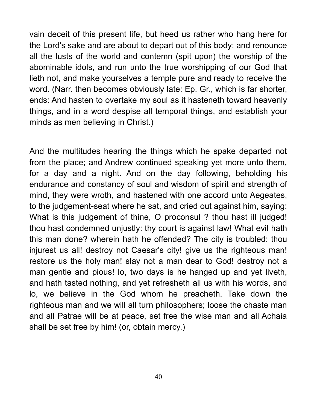vain deceit of this present life, but heed us rather who hang here for the Lord's sake and are about to depart out of this body: and renounce all the lusts of the world and contemn (spit upon) the worship of the abominable idols, and run unto the true worshipping of our God that lieth not, and make yourselves a temple pure and ready to receive the word. (Narr. then becomes obviously late: Ep. Gr., which is far shorter, ends: And hasten to overtake my soul as it hasteneth toward heavenly things, and in a word despise all temporal things, and establish your minds as men believing in Christ.)

And the multitudes hearing the things which he spake departed not from the place; and Andrew continued speaking yet more unto them, for a day and a night. And on the day following, beholding his endurance and constancy of soul and wisdom of spirit and strength of mind, they were wroth, and hastened with one accord unto Aegeates, to the judgement-seat where he sat, and cried out against him, saying: What is this judgement of thine, O proconsul ? thou hast ill judged! thou hast condemned unjustly: thy court is against law! What evil hath this man done? wherein hath he offended? The city is troubled: thou injurest us all! destroy not Caesar's city! give us the righteous man! restore us the holy man! slay not a man dear to God! destroy not a man gentle and pious! lo, two days is he hanged up and yet liveth, and hath tasted nothing, and yet refresheth all us with his words, and lo, we believe in the God whom he preacheth. Take down the righteous man and we will all turn philosophers; loose the chaste man and all Patrae will be at peace, set free the wise man and all Achaia shall be set free by him! (or, obtain mercy.)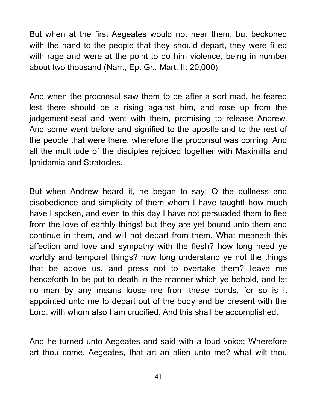But when at the first Aegeates would not hear them, but beckoned with the hand to the people that they should depart, they were filled with rage and were at the point to do him violence, being in number about two thousand (Narr., Ep. Gr., Mart. II: 20,000).

And when the proconsul saw them to be after a sort mad, he feared lest there should be a rising against him, and rose up from the judgement-seat and went with them, promising to release Andrew. And some went before and signified to the apostle and to the rest of the people that were there, wherefore the proconsul was coming. And all the multitude of the disciples rejoiced together with Maximilla and Iphidamia and Stratocles.

But when Andrew heard it, he began to say: O the dullness and disobedience and simplicity of them whom I have taught! how much have I spoken, and even to this day I have not persuaded them to flee from the love of earthly things! but they are yet bound unto them and continue in them, and will not depart from them. What meaneth this affection and love and sympathy with the flesh? how long heed ye worldly and temporal things? how long understand ye not the things that be above us, and press not to overtake them? Ieave me henceforth to be put to death in the manner which ye behold, and let no man by any means loose me from these bonds, for so is it appointed unto me to depart out of the body and be present with the Lord, with whom also I am crucified. And this shall be accomplished.

And he turned unto Aegeates and said with a loud voice: Wherefore art thou come, Aegeates, that art an alien unto me? what wilt thou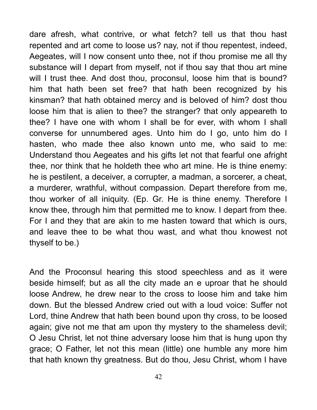dare afresh, what contrive, or what fetch? tell us that thou hast repented and art come to loose us? nay, not if thou repentest, indeed, Aegeates, will I now consent unto thee, not if thou promise me all thy substance will I depart from myself, not if thou say that thou art mine will I trust thee. And dost thou, proconsul, loose him that is bound? him that hath been set free? that hath been recognized by his kinsman? that hath obtained mercy and is beloved of him? dost thou loose him that is alien to thee? the stranger? that only appeareth to thee? I have one with whom I shall be for ever, with whom I shall converse for unnumbered ages. Unto him do I go, unto him do I hasten, who made thee also known unto me, who said to me: Understand thou Aegeates and his gifts let not that fearful one afright thee, nor think that he holdeth thee who art mine. He is thine enemy: he is pestilent, a deceiver, a corrupter, a madman, a sorcerer, a cheat, a murderer, wrathful, without compassion. Depart therefore from me, thou worker of all iniquity. (Ep. Gr. He is thine enemy. Therefore I know thee, through him that permitted me to know. I depart from thee. For I and they that are akin to me hasten toward that which is ours, and leave thee to be what thou wast, and what thou knowest not thyself to be.)

And the Proconsul hearing this stood speechless and as it were beside himself; but as all the city made an e uproar that he should loose Andrew, he drew near to the cross to loose him and take him down. But the blessed Andrew cried out with a loud voice: Suffer not Lord, thine Andrew that hath been bound upon thy cross, to be loosed again; give not me that am upon thy mystery to the shameless devil; O Jesu Christ, let not thine adversary loose him that is hung upon thy grace; O Father, let not this mean (little) one humble any more him that hath known thy greatness. But do thou, Jesu Christ, whom I have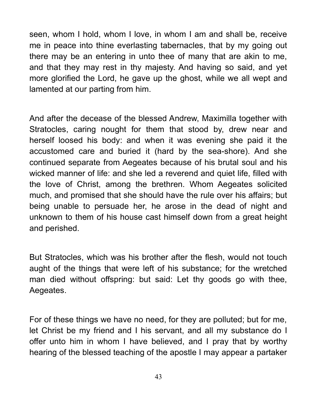seen, whom I hold, whom I love, in whom I am and shall be, receive me in peace into thine everlasting tabernacles, that by my going out there may be an entering in unto thee of many that are akin to me, and that they may rest in thy majesty. And having so said, and yet more glorified the Lord, he gave up the ghost, while we all wept and lamented at our parting from him.

And after the decease of the blessed Andrew, Maximilla together with Stratocles, caring nought for them that stood by, drew near and herself loosed his body: and when it was evening she paid it the accustomed care and buried it (hard by the sea-shore). And she continued separate from Aegeates because of his brutal soul and his wicked manner of life: and she led a reverend and quiet life, filled with the love of Christ, among the brethren. Whom Aegeates solicited much, and promised that she should have the rule over his affairs; but being unable to persuade her, he arose in the dead of night and unknown to them of his house cast himself down from a great height and perished.

But Stratocles, which was his brother after the flesh, would not touch aught of the things that were left of his substance; for the wretched man died without offspring: but said: Let thy goods go with thee, Aegeates.

For of these things we have no need, for they are polluted; but for me, let Christ be my friend and I his servant, and all my substance do I offer unto him in whom I have believed, and I pray that by worthy hearing of the blessed teaching of the apostle I may appear a partaker